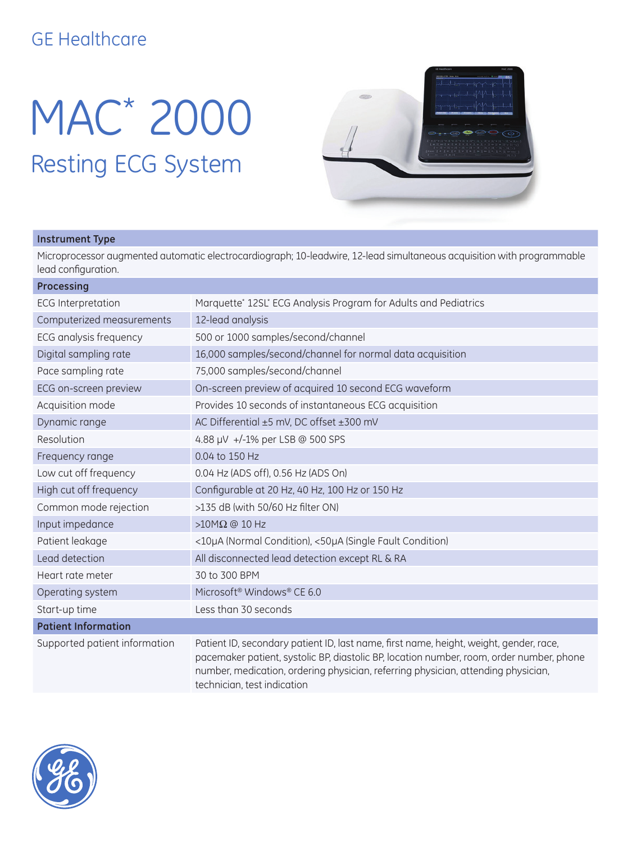## GE Healthcare

# MAC\* 2000 Resting ECG System



### **Instrument Type**

Microprocessor augmented automatic electrocardiograph; 10-leadwire, 12-lead simultaneous acquisition with programmable lead configuration.

| Processing                    |                                                                                                                                                                                                                                                                         |
|-------------------------------|-------------------------------------------------------------------------------------------------------------------------------------------------------------------------------------------------------------------------------------------------------------------------|
| <b>ECG</b> Interpretation     | Marquette* 12SL* ECG Analysis Program for Adults and Pediatrics                                                                                                                                                                                                         |
| Computerized measurements     | 12-lead analysis                                                                                                                                                                                                                                                        |
| ECG analysis frequency        | 500 or 1000 samples/second/channel                                                                                                                                                                                                                                      |
| Digital sampling rate         | 16,000 samples/second/channel for normal data acquisition                                                                                                                                                                                                               |
| Pace sampling rate            | 75,000 samples/second/channel                                                                                                                                                                                                                                           |
| ECG on-screen preview         | On-screen preview of acquired 10 second ECG waveform                                                                                                                                                                                                                    |
| Acquisition mode              | Provides 10 seconds of instantaneous ECG acquisition                                                                                                                                                                                                                    |
| Dynamic range                 | AC Differential ±5 mV, DC offset ±300 mV                                                                                                                                                                                                                                |
| Resolution                    | 4.88 µV +/-1% per LSB @ 500 SPS                                                                                                                                                                                                                                         |
| Frequency range               | 0.04 to 150 Hz                                                                                                                                                                                                                                                          |
| Low cut off frequency         | 0.04 Hz (ADS off), 0.56 Hz (ADS On)                                                                                                                                                                                                                                     |
| High cut off frequency        | Configurable at 20 Hz, 40 Hz, 100 Hz or 150 Hz                                                                                                                                                                                                                          |
| Common mode rejection         | >135 dB (with 50/60 Hz filter ON)                                                                                                                                                                                                                                       |
| Input impedance               | > $10M\Omega$ @ 10 Hz                                                                                                                                                                                                                                                   |
| Patient leakage               | <10µA (Normal Condition), <50µA (Single Fault Condition)                                                                                                                                                                                                                |
| Lead detection                | All disconnected lead detection except RL & RA                                                                                                                                                                                                                          |
| Heart rate meter              | 30 to 300 BPM                                                                                                                                                                                                                                                           |
| Operating system              | Microsoft <sup>®</sup> Windows <sup>®</sup> CE 6.0                                                                                                                                                                                                                      |
| Start-up time                 | Less than 30 seconds                                                                                                                                                                                                                                                    |
| <b>Patient Information</b>    |                                                                                                                                                                                                                                                                         |
| Supported patient information | Patient ID, secondary patient ID, last name, first name, height, weight, gender, race,<br>pacemaker patient, systolic BP, diastolic BP, location number, room, order number, phone<br>number, medication, ordering physician, referring physician, attending physician, |

technician, test indication

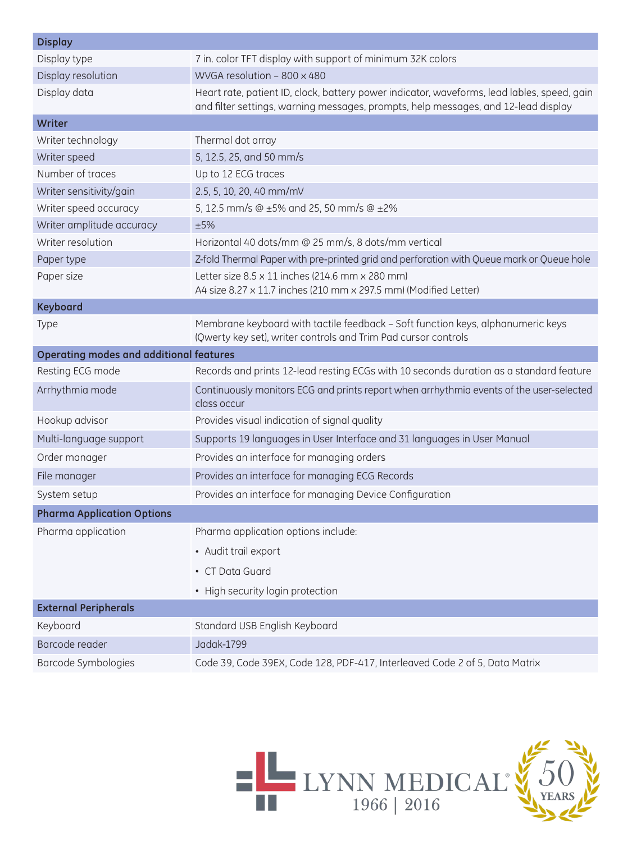| <b>Display</b>                                 |                                                                                                                                                                                   |  |
|------------------------------------------------|-----------------------------------------------------------------------------------------------------------------------------------------------------------------------------------|--|
| Display type                                   | 7 in. color TFT display with support of minimum 32K colors                                                                                                                        |  |
| Display resolution                             | WVGA resolution - 800 x 480                                                                                                                                                       |  |
| Display data                                   | Heart rate, patient ID, clock, battery power indicator, waveforms, lead lables, speed, gain<br>and filter settings, warning messages, prompts, help messages, and 12-lead display |  |
| Writer                                         |                                                                                                                                                                                   |  |
| Writer technology                              | Thermal dot array                                                                                                                                                                 |  |
| Writer speed                                   | 5, 12.5, 25, and 50 mm/s                                                                                                                                                          |  |
| Number of traces                               | Up to 12 ECG traces                                                                                                                                                               |  |
| Writer sensitivity/gain                        | 2.5, 5, 10, 20, 40 mm/mV                                                                                                                                                          |  |
| Writer speed accuracy                          | 5, 12.5 mm/s @ ±5% and 25, 50 mm/s @ ±2%                                                                                                                                          |  |
| Writer amplitude accuracy                      | ±5%                                                                                                                                                                               |  |
| Writer resolution                              | Horizontal 40 dots/mm @ 25 mm/s, 8 dots/mm vertical                                                                                                                               |  |
| Paper type                                     | Z-fold Thermal Paper with pre-printed grid and perforation with Queue mark or Queue hole                                                                                          |  |
| Paper size                                     | Letter size 8.5 x 11 inches (214.6 mm x 280 mm)<br>A4 size 8.27 x 11.7 inches (210 mm x 297.5 mm) (Modified Letter)                                                               |  |
| <b>Keyboard</b>                                |                                                                                                                                                                                   |  |
| Type                                           | Membrane keyboard with tactile feedback - Soft function keys, alphanumeric keys<br>(Qwerty key set), writer controls and Trim Pad cursor controls                                 |  |
| <b>Operating modes and additional features</b> |                                                                                                                                                                                   |  |
|                                                |                                                                                                                                                                                   |  |
| Resting ECG mode                               | Records and prints 12-lead resting ECGs with 10 seconds duration as a standard feature                                                                                            |  |
| Arrhythmia mode                                | Continuously monitors ECG and prints report when arrhythmia events of the user-selected<br>class occur                                                                            |  |
| Hookup advisor                                 | Provides visual indication of signal quality                                                                                                                                      |  |
| Multi-language support                         | Supports 19 languages in User Interface and 31 languages in User Manual                                                                                                           |  |
| Order manager                                  | Provides an interface for managing orders                                                                                                                                         |  |
| File manager                                   | Provides an interface for managing ECG Records                                                                                                                                    |  |
| System setup                                   | Provides an interface for managing Device Configuration                                                                                                                           |  |
| <b>Pharma Application Options</b>              |                                                                                                                                                                                   |  |
| Pharma application                             | Pharma application options include:                                                                                                                                               |  |
|                                                | • Audit trail export                                                                                                                                                              |  |
|                                                | • CT Data Guard                                                                                                                                                                   |  |
|                                                | • High security login protection                                                                                                                                                  |  |
| <b>External Peripherals</b>                    |                                                                                                                                                                                   |  |
| Keyboard                                       | Standard USB English Keyboard                                                                                                                                                     |  |
| Barcode reader                                 | Jadak-1799                                                                                                                                                                        |  |

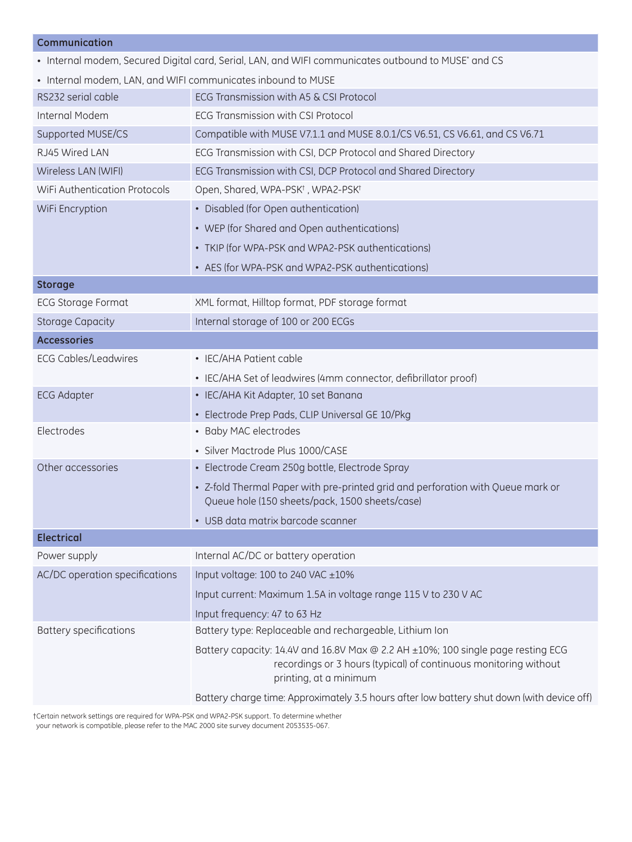#### **Communication**

• Internal modem, Secured Digital card, Serial, LAN, and WIFI communicates outbound to MUSE\* and CS

| • Internal modem, LAN, and WIFI communicates inbound to MUSE |                                                                                                                                                                                |  |
|--------------------------------------------------------------|--------------------------------------------------------------------------------------------------------------------------------------------------------------------------------|--|
| RS232 serial cable                                           | ECG Transmission with A5 & CSI Protocol                                                                                                                                        |  |
| Internal Modem                                               | <b>ECG Transmission with CSI Protocol</b>                                                                                                                                      |  |
| Supported MUSE/CS                                            | Compatible with MUSE V7.1.1 and MUSE 8.0.1/CS V6.51, CS V6.61, and CS V6.71                                                                                                    |  |
| RJ45 Wired LAN                                               | ECG Transmission with CSI, DCP Protocol and Shared Directory                                                                                                                   |  |
| Wireless LAN (WIFI)                                          | ECG Transmission with CSI, DCP Protocol and Shared Directory                                                                                                                   |  |
| WiFi Authentication Protocols                                | Open, Shared, WPA-PSK <sup>+</sup> , WPA2-PSK <sup>+</sup>                                                                                                                     |  |
| WiFi Encryption                                              | • Disabled (for Open authentication)                                                                                                                                           |  |
|                                                              | • WEP (for Shared and Open authentications)                                                                                                                                    |  |
|                                                              | • TKIP (for WPA-PSK and WPA2-PSK authentications)                                                                                                                              |  |
|                                                              | • AES (for WPA-PSK and WPA2-PSK authentications)                                                                                                                               |  |
| <b>Storage</b>                                               |                                                                                                                                                                                |  |
| <b>ECG Storage Format</b>                                    | XML format, Hilltop format, PDF storage format                                                                                                                                 |  |
| <b>Storage Capacity</b>                                      | Internal storage of 100 or 200 ECGs                                                                                                                                            |  |
| <b>Accessories</b>                                           |                                                                                                                                                                                |  |
| <b>ECG Cables/Leadwires</b>                                  | • IEC/AHA Patient cable                                                                                                                                                        |  |
|                                                              | • IEC/AHA Set of leadwires (4mm connector, defibrillator proof)                                                                                                                |  |
| <b>ECG Adapter</b>                                           | • IEC/AHA Kit Adapter, 10 set Banana                                                                                                                                           |  |
|                                                              | • Electrode Prep Pads, CLIP Universal GE 10/Pkg                                                                                                                                |  |
| Electrodes                                                   | • Baby MAC electrodes                                                                                                                                                          |  |
|                                                              | · Silver Mactrode Plus 1000/CASE                                                                                                                                               |  |
| Other accessories                                            | • Electrode Cream 250g bottle, Electrode Spray                                                                                                                                 |  |
|                                                              | • Z-fold Thermal Paper with pre-printed grid and perforation with Queue mark or<br>Queue hole (150 sheets/pack, 1500 sheets/case)                                              |  |
|                                                              | • USB data matrix barcode scanner                                                                                                                                              |  |
| <b>Electrical</b>                                            |                                                                                                                                                                                |  |
| Power supply                                                 | Internal AC/DC or battery operation                                                                                                                                            |  |
| AC/DC operation specifications                               | Input voltage: 100 to 240 VAC ±10%                                                                                                                                             |  |
|                                                              | Input current: Maximum 1.5A in voltage range 115 V to 230 V AC                                                                                                                 |  |
|                                                              | Input frequency: 47 to 63 Hz                                                                                                                                                   |  |
| <b>Battery specifications</b>                                | Battery type: Replaceable and rechargeable, Lithium Ion                                                                                                                        |  |
|                                                              | Battery capacity: 14.4V and 16.8V Max @ 2.2 AH ±10%; 100 single page resting ECG<br>recordings or 3 hours (typical) of continuous monitoring without<br>printing, at a minimum |  |
|                                                              | Battery charge time: Approximately 3.5 hours after low battery shut down (with device off)                                                                                     |  |

†Certain network settings are required for WPA-PSK and WPA2-PSK support. To determine whether your network is compatible, please refer to the MAC 2000 site survey document 2053535-067.